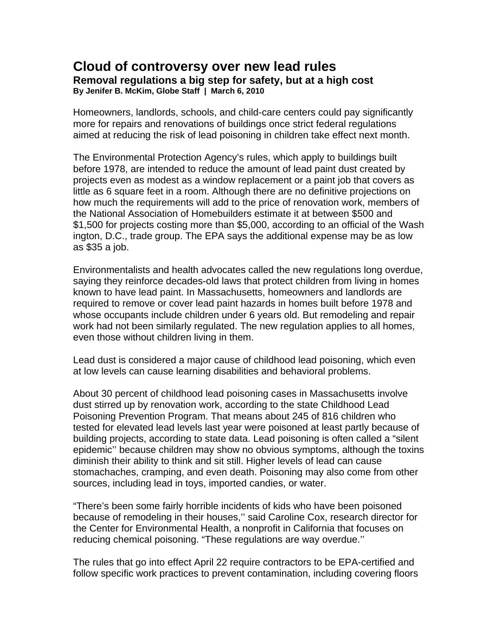## **Cloud of controversy over new lead rules Removal regulations a big step for safety, but at a high cost By Jenifer B. McKim, Globe Staff | March 6, 2010**

Homeowners, landlords, schools, and child-care centers could pay significantly more for repairs and renovations of buildings once strict federal regulations aimed at reducing the risk of lead poisoning in children take effect next month.

The Environmental Protection Agency's rules, which apply to buildings built before 1978, are intended to reduce the amount of lead paint dust created by projects even as modest as a window replacement or a paint job that covers as little as 6 square feet in a room. Although there are no definitive projections on how much the requirements will add to the price of renovation work, members of the National Association of Homebuilders estimate it at between \$500 and \$1,500 for projects costing more than \$5,000, according to an official of the Wash ington, D.C., trade group. The EPA says the additional expense may be as low as \$35 a job.

Environmentalists and health advocates called the new regulations long overdue, saying they reinforce decades-old laws that protect children from living in homes known to have lead paint. In Massachusetts, homeowners and landlords are required to remove or cover lead paint hazards in homes built before 1978 and whose occupants include children under 6 years old. But remodeling and repair work had not been similarly regulated. The new regulation applies to all homes, even those without children living in them.

Lead dust is considered a major cause of childhood lead poisoning, which even at low levels can cause learning disabilities and behavioral problems.

About 30 percent of childhood lead poisoning cases in Massachusetts involve dust stirred up by renovation work, according to the state Childhood Lead Poisoning Prevention Program. That means about 245 of 816 children who tested for elevated lead levels last year were poisoned at least partly because of building projects, according to state data. Lead poisoning is often called a "silent epidemic'' because children may show no obvious symptoms, although the toxins diminish their ability to think and sit still. Higher levels of lead can cause stomachaches, cramping, and even death. Poisoning may also come from other sources, including lead in toys, imported candies, or water.

"There's been some fairly horrible incidents of kids who have been poisoned because of remodeling in their houses,'' said Caroline Cox, research director for the Center for Environmental Health, a nonprofit in California that focuses on reducing chemical poisoning. "These regulations are way overdue.''

The rules that go into effect April 22 require contractors to be EPA-certified and follow specific work practices to prevent contamination, including covering floors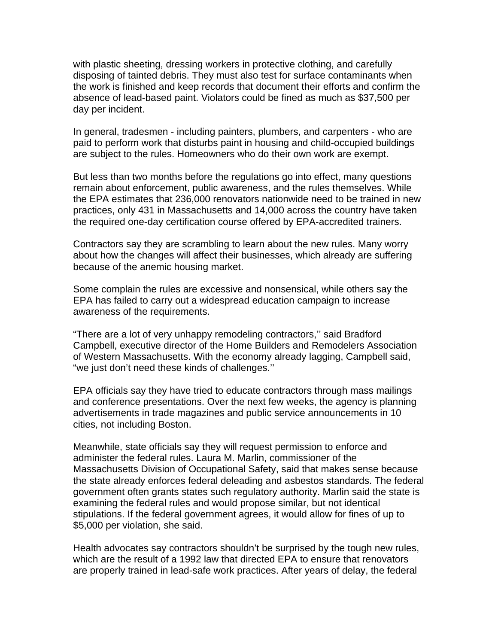with plastic sheeting, dressing workers in protective clothing, and carefully disposing of tainted debris. They must also test for surface contaminants when the work is finished and keep records that document their efforts and confirm the absence of lead-based paint. Violators could be fined as much as \$37,500 per day per incident.

In general, tradesmen - including painters, plumbers, and carpenters - who are paid to perform work that disturbs paint in housing and child-occupied buildings are subject to the rules. Homeowners who do their own work are exempt.

But less than two months before the regulations go into effect, many questions remain about enforcement, public awareness, and the rules themselves. While the EPA estimates that 236,000 renovators nationwide need to be trained in new practices, only 431 in Massachusetts and 14,000 across the country have taken the required one-day certification course offered by EPA-accredited trainers.

Contractors say they are scrambling to learn about the new rules. Many worry about how the changes will affect their businesses, which already are suffering because of the anemic housing market.

Some complain the rules are excessive and nonsensical, while others say the EPA has failed to carry out a widespread education campaign to increase awareness of the requirements.

"There are a lot of very unhappy remodeling contractors,'' said Bradford Campbell, executive director of the Home Builders and Remodelers Association of Western Massachusetts. With the economy already lagging, Campbell said, "we just don't need these kinds of challenges.''

EPA officials say they have tried to educate contractors through mass mailings and conference presentations. Over the next few weeks, the agency is planning advertisements in trade magazines and public service announcements in 10 cities, not including Boston.

Meanwhile, state officials say they will request permission to enforce and administer the federal rules. Laura M. Marlin, commissioner of the Massachusetts Division of Occupational Safety, said that makes sense because the state already enforces federal deleading and asbestos standards. The federal government often grants states such regulatory authority. Marlin said the state is examining the federal rules and would propose similar, but not identical stipulations. If the federal government agrees, it would allow for fines of up to \$5,000 per violation, she said.

Health advocates say contractors shouldn't be surprised by the tough new rules, which are the result of a 1992 law that directed EPA to ensure that renovators are properly trained in lead-safe work practices. After years of delay, the federal